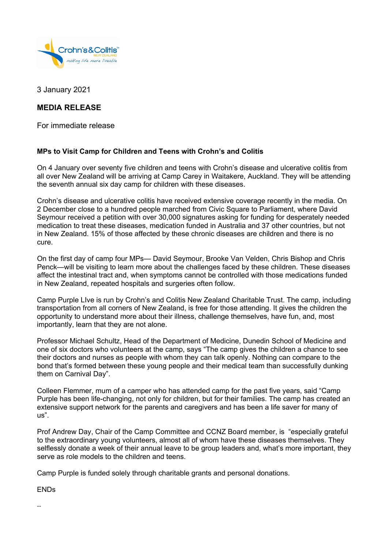

3 January 2021

## **MEDIA RELEASE**

For immediate release

## **MPs to Visit Camp for Children and Teens with Crohn's and Colitis**

On 4 January over seventy five children and teens with Crohn's disease and ulcerative colitis from all over New Zealand will be arriving at Camp Carey in Waitakere, Auckland. They will be attending the seventh annual six day camp for children with these diseases.

Crohn's disease and ulcerative colitis have received extensive coverage recently in the media. On 2 December close to a hundred people marched from Civic Square to Parliament, where David Seymour received a petition with over 30,000 signatures asking for funding for desperately needed medication to treat these diseases, medication funded in Australia and 37 other countries, but not in New Zealand. 15% of those affected by these chronic diseases are children and there is no cure.

On the first day of camp four MPs— David Seymour, Brooke Van Velden, Chris Bishop and Chris Penck—will be visiting to learn more about the challenges faced by these children. These diseases affect the intestinal tract and, when symptoms cannot be controlled with those medications funded in New Zealand, repeated hospitals and surgeries often follow.

Camp Purple LIve is run by Crohn's and Colitis New Zealand Charitable Trust. The camp, including transportation from all corners of New Zealand, is free for those attending. It gives the children the opportunity to understand more about their illness, challenge themselves, have fun, and, most importantly, learn that they are not alone.

Professor Michael Schultz, Head of the Department of Medicine, Dunedin School of Medicine and one of six doctors who volunteers at the camp, says "The camp gives the children a chance to see their doctors and nurses as people with whom they can talk openly. Nothing can compare to the bond that's formed between these young people and their medical team than successfully dunking them on Carnival Day".

Colleen Flemmer, mum of a camper who has attended camp for the past five years, said "Camp Purple has been life-changing, not only for children, but for their families. The camp has created an extensive support network for the parents and caregivers and has been a life saver for many of us".

Prof Andrew Day, Chair of the Camp Committee and CCNZ Board member, is "especially grateful to the extraordinary young volunteers, almost all of whom have these diseases themselves. They selflessly donate a week of their annual leave to be group leaders and, what's more important, they serve as role models to the children and teens.

Camp Purple is funded solely through charitable grants and personal donations.

ENDs